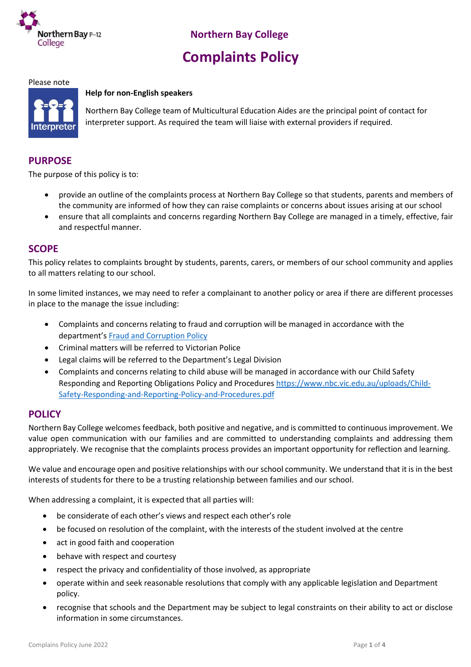

# **Complaints Policy**

#### Please note

#### **Help for non-English speakers**



Northern Bay College team of Multicultural Education Aides are the principal point of contact for interpreter support. As required the team will liaise with external providers if required.

#### **PURPOSE**

The purpose of this policy is to:

- provide an outline of the complaints process at Northern Bay College so that students, parents and members of the community are informed of how they can raise complaints or concerns about issues arising at our school
- ensure that all complaints and concerns regarding Northern Bay College are managed in a timely, effective, fair and respectful manner.

#### **SCOPE**

This policy relates to complaints brought by students, parents, carers, or members of our school community and applies to all matters relating to our school.

In some limited instances, we may need to refer a complainant to another policy or area if there are different processes in place to the manage the issue including:

- Complaints and concerns relating to fraud and corruption will be managed in accordance with the department's [Fraud and Corruption Policy](https://www2.education.vic.gov.au/pal/report-fraud-or-corruption/overview)
- Criminal matters will be referred to Victorian Police
- Legal claims will be referred to the Department's Legal Division
- Complaints and concerns relating to child abuse will be managed in accordance with our Child Safety Responding and Reporting Obligations Policy and Procedures [https://www.nbc.vic.edu.au/uploads/Child-](https://www.nbc.vic.edu.au/uploads/Child-Safety-Responding-and-Reporting-Policy-and-Procedures.pdf)[Safety-Responding-and-Reporting-Policy-and-Procedures.pdf](https://www.nbc.vic.edu.au/uploads/Child-Safety-Responding-and-Reporting-Policy-and-Procedures.pdf)

#### **POLICY**

Northern Bay College welcomes feedback, both positive and negative, and is committed to continuous improvement. We value open communication with our families and are committed to understanding complaints and addressing them appropriately. We recognise that the complaints process provides an important opportunity for reflection and learning.

We value and encourage open and positive relationships with our school community. We understand that it is in the best interests of students for there to be a trusting relationship between families and our school.

When addressing a complaint, it is expected that all parties will:

- be considerate of each other's views and respect each other's role
- be focused on resolution of the complaint, with the interests of the student involved at the centre
- act in good faith and cooperation
- behave with respect and courtesy
- respect the privacy and confidentiality of those involved, as appropriate
- operate within and seek reasonable resolutions that comply with any applicable legislation and Department policy.
- recognise that schools and the Department may be subject to legal constraints on their ability to act or disclose information in some circumstances.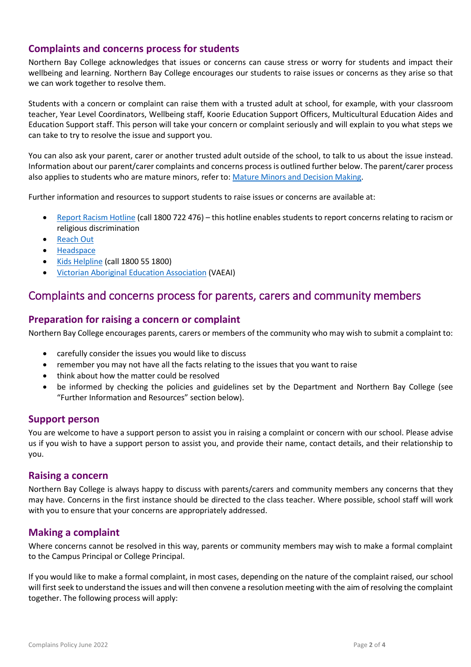#### **Complaints and concerns process for students**

Northern Bay College acknowledges that issues or concerns can cause stress or worry for students and impact their wellbeing and learning. Northern Bay College encourages our students to raise issues or concerns as they arise so that we can work together to resolve them.

Students with a concern or complaint can raise them with a trusted adult at school, for example, with your classroom teacher, Year Level Coordinators, Wellbeing staff, Koorie Education Support Officers, Multicultural Education Aides and Education Support staff. This person will take your concern or complaint seriously and will explain to you what steps we can take to try to resolve the issue and support you.

You can also ask your parent, carer or another trusted adult outside of the school, to talk to us about the issue instead. Information about our parent/carer complaints and concerns process is outlined further below. The parent/carer process also applies to students who are mature minors, refer to[: Mature Minors and Decision Making.](https://www2.education.vic.gov.au/pal/mature-minors-and-decision-making/policy)

Further information and resources to support students to raise issues or concerns are available at:

- [Report Racism Hotline](https://www.vic.gov.au/report-racism-or-religious-discrimination-schools) (call 1800 722 476) this hotline enables students to report concerns relating to racism or religious discrimination
- [Reach Out](https://au.reachout.com/?gclid=CjwKCAiAgbiQBhAHEiwAuQ6BktaB5xneGFK3TnOql5c5eZ7af7dDm9ffLZa7N59FEtbtQzVIk8sGWhoC8N0QAvD_BwE)
- [Headspace](https://headspace.org.au/)
- [Kids Helpline](https://kidshelpline.com.au/?gclid=CjwKCAiAgbiQBhAHEiwAuQ6Bkro6UD2EBcRILznFnRhKjfi5I84jJlUa0fyiiYLQ4mHx5sXTStxH8BoCCEIQAvD_BwE) (call 1800 55 1800)
- [Victorian Aboriginal Education Association](https://www.vaeai.org.au/) (VAEAI)

## Complaints and concerns process for parents, carers and community members

#### **Preparation for raising a concern or complaint**

Northern Bay College encourages parents, carers or members of the community who may wish to submit a complaint to:

- carefully consider the issues you would like to discuss
- remember you may not have all the facts relating to the issues that you want to raise
- think about how the matter could be resolved
- be informed by checking the policies and guidelines set by the Department and Northern Bay College (see "Further Information and Resources" section below).

#### **Support person**

You are welcome to have a support person to assist you in raising a complaint or concern with our school. Please advise us if you wish to have a support person to assist you, and provide their name, contact details, and their relationship to you.

#### **Raising a concern**

Northern Bay College is always happy to discuss with parents/carers and community members any concerns that they may have. Concerns in the first instance should be directed to the class teacher. Where possible, school staff will work with you to ensure that your concerns are appropriately addressed.

#### **Making a complaint**

Where concerns cannot be resolved in this way, parents or community members may wish to make a formal complaint to the Campus Principal or College Principal.

If you would like to make a formal complaint, in most cases, depending on the nature of the complaint raised, our school will first seek to understand the issues and will then convene a resolution meeting with the aim of resolving the complaint together. The following process will apply: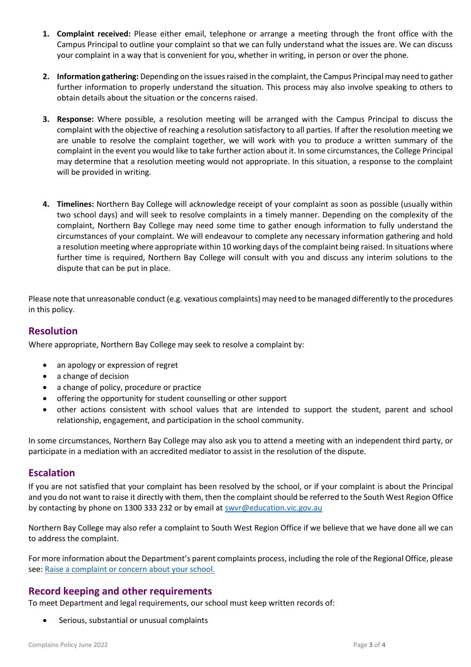- **1. Complaint received:** Please either email, telephone or arrange a meeting through the front office with the Campus Principal to outline your complaint so that we can fully understand what the issues are. We can discuss your complaint in a way that is convenient for you, whether in writing, in person or over the phone.
- **2. Information gathering:** Depending on the issues raised in the complaint, the Campus Principal may need to gather further information to properly understand the situation. This process may also involve speaking to others to obtain details about the situation or the concerns raised.
- **3. Response:** Where possible, a resolution meeting will be arranged with the Campus Principal to discuss the complaint with the objective of reaching a resolution satisfactory to all parties. If after the resolution meeting we are unable to resolve the complaint together, we will work with you to produce a written summary of the complaint in the event you would like to take further action about it. In some circumstances, the College Principal may determine that a resolution meeting would not appropriate. In this situation, a response to the complaint will be provided in writing.
- **4. Timelines:** Northern Bay College will acknowledge receipt of your complaint as soon as possible (usually within two school days) and will seek to resolve complaints in a timely manner. Depending on the complexity of the complaint, Northern Bay College may need some time to gather enough information to fully understand the circumstances of your complaint. We will endeavour to complete any necessary information gathering and hold a resolution meeting where appropriate within 10 working days of the complaint being raised. In situations where further time is required, Northern Bay College will consult with you and discuss any interim solutions to the dispute that can be put in place.

Please note that unreasonable conduct (e.g. vexatious complaints) may need to be managed differently to the procedures in this policy.

#### **Resolution**

Where appropriate, Northern Bay College may seek to resolve a complaint by:

- an apology or expression of regret
- a change of decision
- a change of policy, procedure or practice
- offering the opportunity for student counselling or other support
- other actions consistent with school values that are intended to support the student, parent and school relationship, engagement, and participation in the school community.

In some circumstances, Northern Bay College may also ask you to attend a meeting with an independent third party, or participate in a mediation with an accredited mediator to assist in the resolution of the dispute.

#### **Escalation**

If you are not satisfied that your complaint has been resolved by the school, or if your complaint is about the Principal and you do not want to raise it directly with them, then the complaint should be referred to the South West Region Office by contacting by phone on 1300 333 232 or by email at swyr@education.vic.gov.au

Northern Bay College may also refer a complaint to South West Region Office if we believe that we have done all we can to address the complaint.

For more information about the Department's parent complaints process, including the role of the Regional Office, please see[: Raise a complaint or concern about your school.](https://www.vic.gov.au/raise-complaint-or-concern-about-your-school#speaking-to-your-school)

#### **Record keeping and other requirements**

To meet Department and legal requirements, our school must keep written records of:

Serious, substantial or unusual complaints